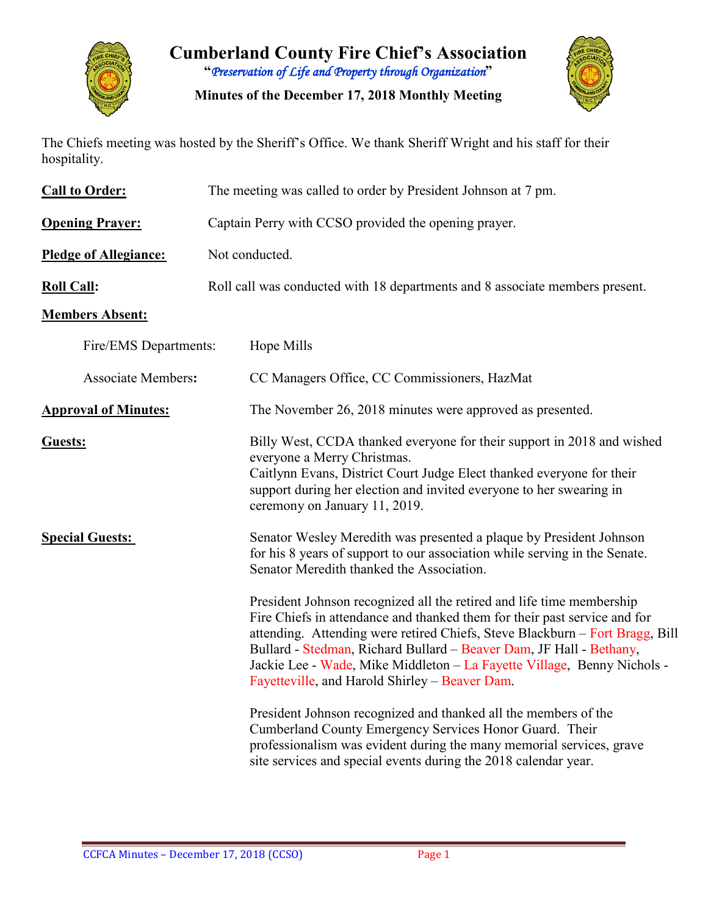

**Cumberland County Fire Chief's Association "***Preservation of Life and Property through Organization***"**

**Minutes of the December 17, 2018 Monthly Meeting**



The Chiefs meeting was hosted by the Sheriff's Office. We thank Sheriff Wright and his staff for their hospitality.

| <b>Call to Order:</b>        | The meeting was called to order by President Johnson at 7 pm.                                                                                                                                                                                                                                                                                                                                                                          |  |  |  |  |  |
|------------------------------|----------------------------------------------------------------------------------------------------------------------------------------------------------------------------------------------------------------------------------------------------------------------------------------------------------------------------------------------------------------------------------------------------------------------------------------|--|--|--|--|--|
| <b>Opening Prayer:</b>       | Captain Perry with CCSO provided the opening prayer.                                                                                                                                                                                                                                                                                                                                                                                   |  |  |  |  |  |
| <b>Pledge of Allegiance:</b> | Not conducted.                                                                                                                                                                                                                                                                                                                                                                                                                         |  |  |  |  |  |
| <b>Roll Call:</b>            | Roll call was conducted with 18 departments and 8 associate members present.                                                                                                                                                                                                                                                                                                                                                           |  |  |  |  |  |
| <b>Members Absent:</b>       |                                                                                                                                                                                                                                                                                                                                                                                                                                        |  |  |  |  |  |
| Fire/EMS Departments:        | Hope Mills                                                                                                                                                                                                                                                                                                                                                                                                                             |  |  |  |  |  |
| <b>Associate Members:</b>    | CC Managers Office, CC Commissioners, HazMat                                                                                                                                                                                                                                                                                                                                                                                           |  |  |  |  |  |
| <b>Approval of Minutes:</b>  | The November 26, 2018 minutes were approved as presented.                                                                                                                                                                                                                                                                                                                                                                              |  |  |  |  |  |
| Guests:                      | Billy West, CCDA thanked everyone for their support in 2018 and wished<br>everyone a Merry Christmas.<br>Caitlynn Evans, District Court Judge Elect thanked everyone for their<br>support during her election and invited everyone to her swearing in<br>ceremony on January 11, 2019.                                                                                                                                                 |  |  |  |  |  |
| <b>Special Guests:</b>       | Senator Wesley Meredith was presented a plaque by President Johnson<br>for his 8 years of support to our association while serving in the Senate.<br>Senator Meredith thanked the Association.                                                                                                                                                                                                                                         |  |  |  |  |  |
|                              | President Johnson recognized all the retired and life time membership<br>Fire Chiefs in attendance and thanked them for their past service and for<br>attending. Attending were retired Chiefs, Steve Blackburn - Fort Bragg, Bill<br>Bullard - Stedman, Richard Bullard - Beaver Dam, JF Hall - Bethany,<br>Jackie Lee - Wade, Mike Middleton - La Fayette Village, Benny Nichols -<br>Fayetteville, and Harold Shirley – Beaver Dam. |  |  |  |  |  |
|                              | President Johnson recognized and thanked all the members of the<br>Cumberland County Emergency Services Honor Guard. Their<br>professionalism was evident during the many memorial services, grave<br>site services and special events during the 2018 calendar year.                                                                                                                                                                  |  |  |  |  |  |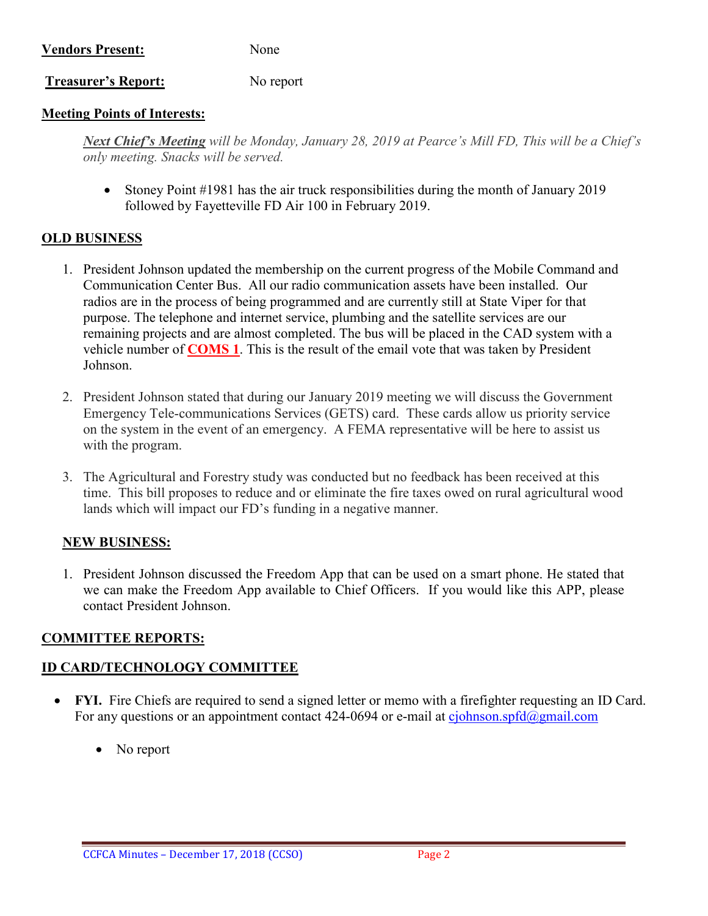# **Vendors Present:** None

**Treasurer's Report:** No report

#### **Meeting Points of Interests:**

*Next Chief's Meeting will be Monday, January 28, 2019 at Pearce's Mill FD, This will be a Chief's only meeting. Snacks will be served.*

• Stoney Point #1981 has the air truck responsibilities during the month of January 2019 followed by Fayetteville FD Air 100 in February 2019.

#### **OLD BUSINESS**

- 1. President Johnson updated the membership on the current progress of the Mobile Command and Communication Center Bus. All our radio communication assets have been installed. Our radios are in the process of being programmed and are currently still at State Viper for that purpose. The telephone and internet service, plumbing and the satellite services are our remaining projects and are almost completed. The bus will be placed in the CAD system with a vehicle number of **COMS 1**. This is the result of the email vote that was taken by President Johnson.
- 2. President Johnson stated that during our January 2019 meeting we will discuss the Government Emergency Tele-communications Services (GETS) card. These cards allow us priority service on the system in the event of an emergency. A FEMA representative will be here to assist us with the program.
- 3. The Agricultural and Forestry study was conducted but no feedback has been received at this time. This bill proposes to reduce and or eliminate the fire taxes owed on rural agricultural wood lands which will impact our FD's funding in a negative manner.

## **NEW BUSINESS:**

1. President Johnson discussed the Freedom App that can be used on a smart phone. He stated that we can make the Freedom App available to Chief Officers. If you would like this APP, please contact President Johnson.

## **COMMITTEE REPORTS:**

## **ID CARD/TECHNOLOGY COMMITTEE**

- **FYI.** Fire Chiefs are required to send a signed letter or memo with a firefighter requesting an ID Card. For any questions or an appointment contact 424-0694 or e-mail at  $c$ *johnson.spfd* $@g$ *mail.com* 
	- No report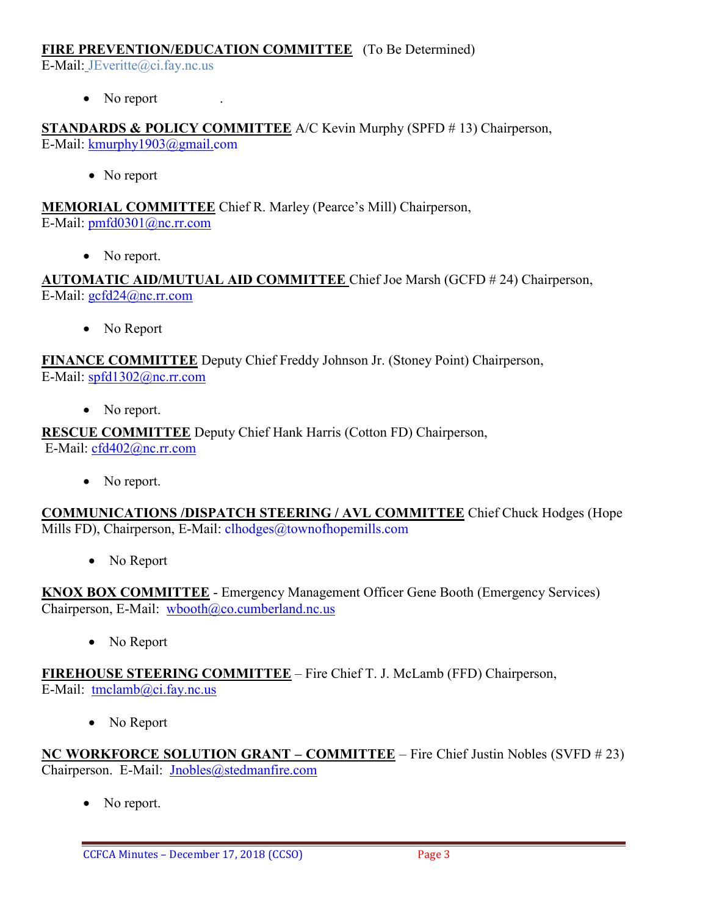#### **FIRE PREVENTION/EDUCATION COMMITTEE** (To Be Determined)

E-Mail: JEveritte@ci.fay.nc.us

• No report

**STANDARDS & POLICY COMMITTEE** A/C Kevin Murphy (SPFD # 13) Chairperson, E-Mail: [kmurphy1903@gmail.com](mailto:kmurphy1903@gmail.com)

• No report

**MEMORIAL COMMITTEE** Chief R. Marley (Pearce's Mill) Chairperson, E-Mail: [pmfd0301@nc.rr.com](mailto:pmfd0301@nc.rr.com)

• No report.

**AUTOMATIC AID/MUTUAL AID COMMITTEE** Chief Joe Marsh (GCFD # 24) Chairperson, E-Mail: [gcfd24@nc.rr.com](mailto:gcfd24@nc.rr.com)

• No Report

**FINANCE COMMITTEE** Deputy Chief Freddy Johnson Jr. (Stoney Point) Chairperson, E-Mail: [spfd1302@nc.rr.com](mailto:spfd1302@nc.rr.com)

• No report.

**RESCUE COMMITTEE** Deputy Chief Hank Harris (Cotton FD) Chairperson, E-Mail: [cfd402@nc.rr.com](mailto:cfd402@nc.rr.com)

• No report.

**COMMUNICATIONS /DISPATCH STEERING / AVL COMMITTEE** Chief Chuck Hodges (Hope Mills FD), Chairperson, E-Mail: clhodges@townofhopemills.com

• No Report

**KNOX BOX COMMITTEE** - Emergency Management Officer Gene Booth (Emergency Services) Chairperson, E-Mail: [wbooth@co.cumberland.nc.us](mailto:wbooth@co.cumberland.nc.us)

• No Report

**FIREHOUSE STEERING COMMITTEE** – Fire Chief T. J. McLamb (FFD) Chairperson, E-Mail: [tmclamb@ci.fay.nc.us](mailto:tmclamb@ci.fay.nc.us)

• No Report

**NC WORKFORCE SOLUTION GRANT – COMMITTEE** – Fire Chief Justin Nobles (SVFD # 23) Chairperson. E-Mail: [Jnobles@stedmanfire.com](mailto:Jnobles@stedmanfire.com)

• No report.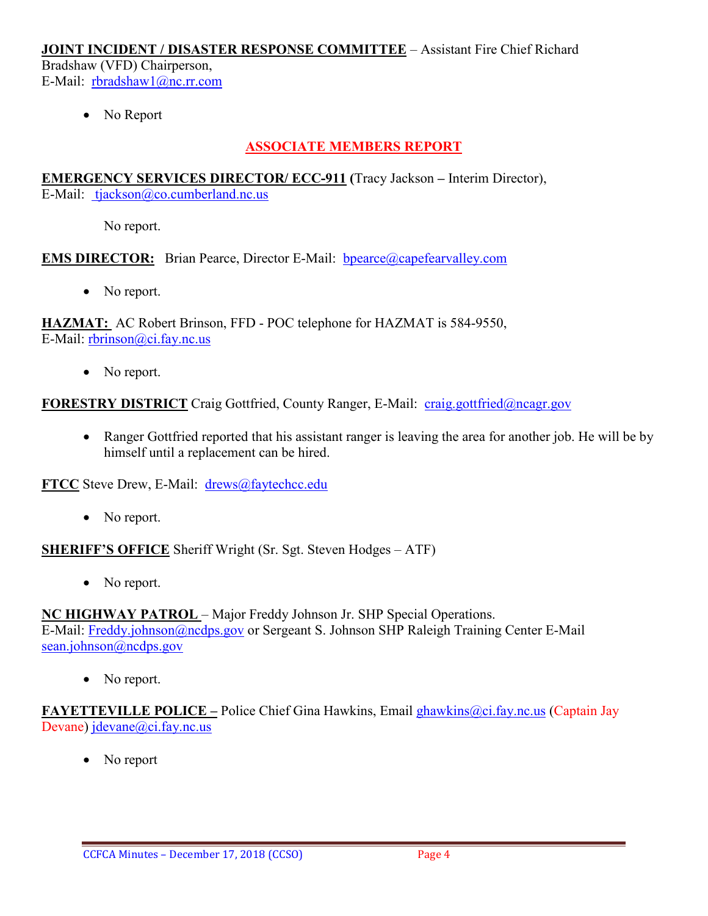#### **JOINT INCIDENT / DISASTER RESPONSE COMMITTEE** – Assistant Fire Chief Richard

Bradshaw (VFD) Chairperson, E-Mail: [rbradshaw1@nc.rr.com](mailto:rbradshaw1@nc.rr.com)

No Report

## **ASSOCIATE MEMBERS REPORT**

#### **EMERGENCY SERVICES DIRECTOR/ ECC-911 (**Tracy Jackson **–** Interim Director), E-Mail: [tjackson@co.cumberland.nc.us](mailto:tjackson@co.cumberland.nc.us)

No report.

## **EMS DIRECTOR:** Brian Pearce, Director E-Mail: bpearce@capefearvalley.com

• No report.

**HAZMAT:** AC Robert Brinson, FFD - POC telephone for HAZMAT is 584-9550, E-Mail: [rbrinson@ci.fay.nc.us](mailto:rbrinson@ci.fay.nc.us)

• No report.

**FORESTRY DISTRICT** Craig Gottfried, County Ranger, E-Mail: [craig.gottfried@ncagr.gov](mailto:craig.gottfried@ncagr.gov)

• Ranger Gottfried reported that his assistant ranger is leaving the area for another job. He will be by himself until a replacement can be hired.

**FTCC** Steve Drew, E-Mail: [drews@faytechcc.edu](mailto:drews@faytechcc.edu)

• No report.

**SHERIFF'S OFFICE** Sheriff Wright (Sr. Sgt. Steven Hodges – ATF)

• No report.

**NC HIGHWAY PATROL** – Major Freddy Johnson Jr. SHP Special Operations. E-Mail: [Freddy.johnson@ncdps.gov](mailto:Freddy.johnson@ncdps.gov) or Sergeant S. Johnson SHP Raleigh Training Center E-Mail [sean.johnson@ncdps.gov](mailto:sean.johnson@ncdps.gov)

• No report.

**FAYETTEVILLE POLICE –** Police Chief Gina Hawkins, Email [ghawkins@ci.fay.nc.us](mailto:ghawkins@ci.fay.nc.us) (Captain Jay Devane) [jdevane@ci.fay.nc.us](mailto:jdevane@ci.fay.nc.us)

No report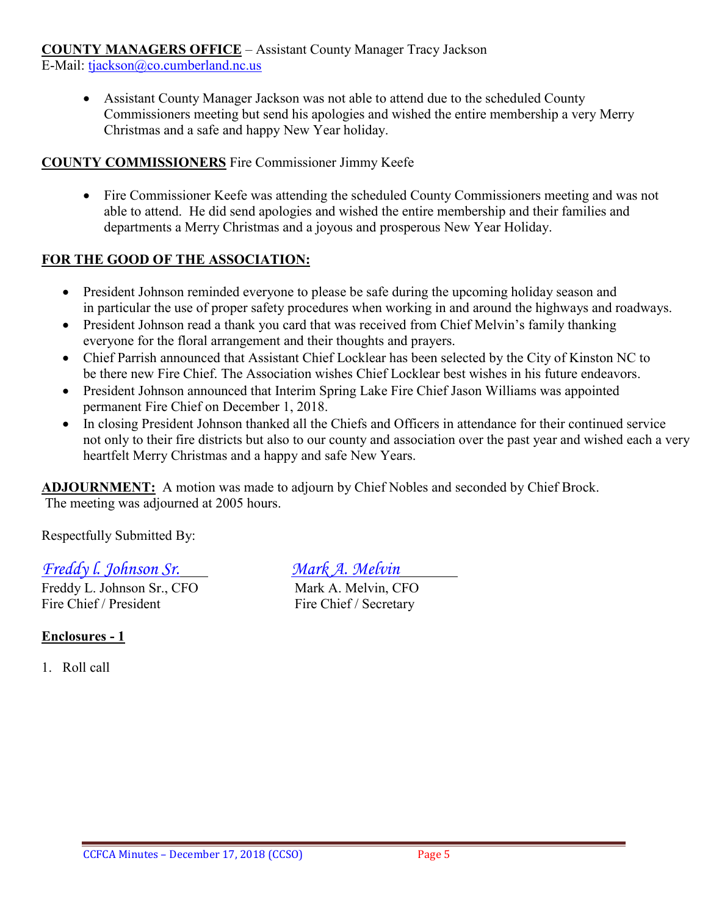## **COUNTY MANAGERS OFFICE** – Assistant County Manager Tracy Jackson

E-Mail: [tjackson@co.cumberland.nc.us](mailto:tjackson@co.cumberland.nc.us)

• Assistant County Manager Jackson was not able to attend due to the scheduled County Commissioners meeting but send his apologies and wished the entire membership a very Merry Christmas and a safe and happy New Year holiday.

#### **COUNTY COMMISSIONERS** Fire Commissioner Jimmy Keefe

• Fire Commissioner Keefe was attending the scheduled County Commissioners meeting and was not able to attend. He did send apologies and wished the entire membership and their families and departments a Merry Christmas and a joyous and prosperous New Year Holiday.

## **FOR THE GOOD OF THE ASSOCIATION:**

- President Johnson reminded everyone to please be safe during the upcoming holiday season and in particular the use of proper safety procedures when working in and around the highways and roadways.
- President Johnson read a thank you card that was received from Chief Melvin's family thanking everyone for the floral arrangement and their thoughts and prayers.
- Chief Parrish announced that Assistant Chief Locklear has been selected by the City of Kinston NC to be there new Fire Chief. The Association wishes Chief Locklear best wishes in his future endeavors.
- President Johnson announced that Interim Spring Lake Fire Chief Jason Williams was appointed permanent Fire Chief on December 1, 2018.
- In closing President Johnson thanked all the Chiefs and Officers in attendance for their continued service not only to their fire districts but also to our county and association over the past year and wished each a very heartfelt Merry Christmas and a happy and safe New Years.

**ADJOURNMENT:** A motion was made to adjourn by Chief Nobles and seconded by Chief Brock. The meeting was adjourned at 2005 hours.

Respectfully Submitted By:

# *Freddy I. Johnson Sr.*<br>
Freddy L. Johnson Sr., CFO<br>
Mark A. Melvin, CFO

Freddy L. Johnson Sr., CFO Fire Chief / President Fire Chief / Secretary

## **Enclosures - 1**

1. Roll call